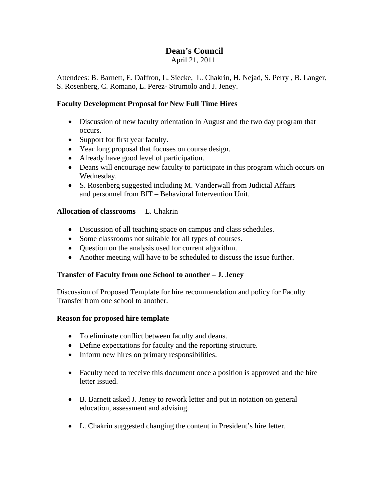# **Dean's Council**

April 21, 2011

Attendees: B. Barnett, E. Daffron, L. Siecke, L. Chakrin, H. Nejad, S. Perry , B. Langer, S. Rosenberg, C. Romano, L. Perez- Strumolo and J. Jeney.

#### **Faculty Development Proposal for New Full Time Hires**

- Discussion of new faculty orientation in August and the two day program that occurs.
- Support for first year faculty.
- Year long proposal that focuses on course design.
- Already have good level of participation.
- Deans will encourage new faculty to participate in this program which occurs on Wednesday.
- S. Rosenberg suggested including M. Vanderwall from Judicial Affairs and personnel from BIT – Behavioral Intervention Unit.

## **Allocation of classrooms** – L. Chakrin

- Discussion of all teaching space on campus and class schedules.
- Some classrooms not suitable for all types of courses.
- Question on the analysis used for current algorithm.
- Another meeting will have to be scheduled to discuss the issue further.

## **Transfer of Faculty from one School to another – J. Jeney**

Discussion of Proposed Template for hire recommendation and policy for Faculty Transfer from one school to another.

#### **Reason for proposed hire template**

- To eliminate conflict between faculty and deans.
- Define expectations for faculty and the reporting structure.
- Inform new hires on primary responsibilities.
- Faculty need to receive this document once a position is approved and the hire letter issued.
- B. Barnett asked J. Jeney to rework letter and put in notation on general education, assessment and advising.
- L. Chakrin suggested changing the content in President's hire letter.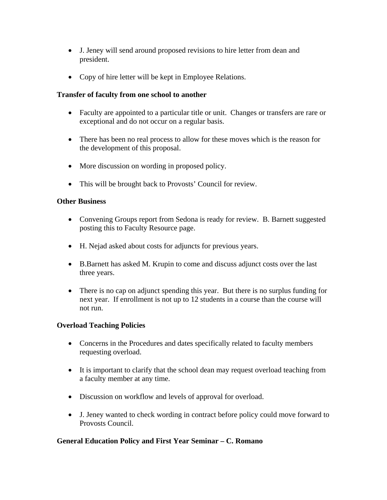- J. Jeney will send around proposed revisions to hire letter from dean and president.
- Copy of hire letter will be kept in Employee Relations.

## **Transfer of faculty from one school to another**

- Faculty are appointed to a particular title or unit. Changes or transfers are rare or exceptional and do not occur on a regular basis.
- There has been no real process to allow for these moves which is the reason for the development of this proposal.
- More discussion on wording in proposed policy.
- This will be brought back to Provosts' Council for review.

## **Other Business**

- Convening Groups report from Sedona is ready for review. B. Barnett suggested posting this to Faculty Resource page.
- H. Nejad asked about costs for adjuncts for previous years.
- B.Barnett has asked M. Krupin to come and discuss adjunct costs over the last three years.
- There is no cap on adjunct spending this year. But there is no surplus funding for next year. If enrollment is not up to 12 students in a course than the course will not run.

## **Overload Teaching Policies**

- Concerns in the Procedures and dates specifically related to faculty members requesting overload.
- It is important to clarify that the school dean may request overload teaching from a faculty member at any time.
- Discussion on workflow and levels of approval for overload.
- J. Jeney wanted to check wording in contract before policy could move forward to Provosts Council.

## **General Education Policy and First Year Seminar – C. Romano**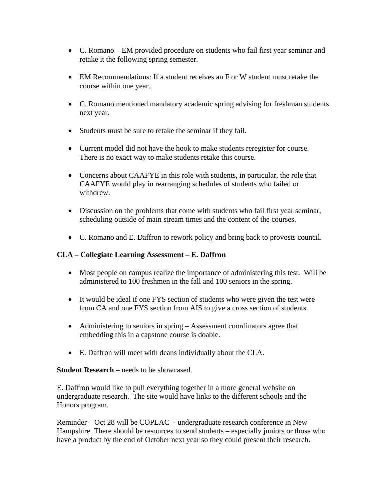- C. Romano EM provided procedure on students who fail first year seminar and retake it the following spring semester.
- EM Recommendations: If a student receives an F or W student must retake the course within one year.
- C. Romano mentioned mandatory academic spring advising for freshman students next year.
- Students must be sure to retake the seminar if they fail.
- Current model did not have the hook to make students reregister for course. There is no exact way to make students retake this course.
- Concerns about CAAFYE in this role with students, in particular, the role that CAAFYE would play in rearranging schedules of students who failed or withdrew.
- Discussion on the problems that come with students who fail first year seminar, scheduling outside of main stream times and the content of the courses.
- C. Romano and E. Daffron to rework policy and bring back to provosts council.

## **CLA – Collegiate Learning Assessment – E. Daffron**

- Most people on campus realize the importance of administering this test. Will be administered to 100 freshmen in the fall and 100 seniors in the spring.
- It would be ideal if one FYS section of students who were given the test were from CA and one FYS section from AIS to give a cross section of students.
- Administering to seniors in spring Assessment coordinators agree that embedding this in a capstone course is doable.
- E. Daffron will meet with deans individually about the CLA.

## **Student Research** – needs to be showcased.

E. Daffron would like to pull everything together in a more general website on undergraduate research. The site would have links to the different schools and the Honors program.

Reminder – Oct 28 will be COPLAC - undergraduate research conference in New Hampshire. There should be resources to send students – especially juniors or those who have a product by the end of October next year so they could present their research.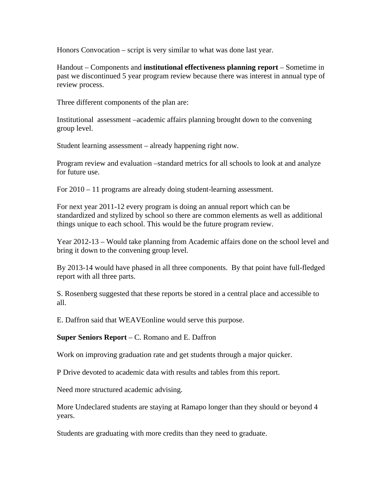Honors Convocation – script is very similar to what was done last year.

Handout – Components and **institutional effectiveness planning report** – Sometime in past we discontinued 5 year program review because there was interest in annual type of review process.

Three different components of the plan are:

Institutional assessment –academic affairs planning brought down to the convening group level.

Student learning assessment – already happening right now.

Program review and evaluation –standard metrics for all schools to look at and analyze for future use.

For 2010 – 11 programs are already doing student-learning assessment.

For next year 2011-12 every program is doing an annual report which can be standardized and stylized by school so there are common elements as well as additional things unique to each school. This would be the future program review.

Year 2012-13 – Would take planning from Academic affairs done on the school level and bring it down to the convening group level.

By 2013-14 would have phased in all three components. By that point have full-fledged report with all three parts.

S. Rosenberg suggested that these reports be stored in a central place and accessible to all.

E. Daffron said that WEAVEonline would serve this purpose.

**Super Seniors Report** – C. Romano and E. Daffron

Work on improving graduation rate and get students through a major quicker.

P Drive devoted to academic data with results and tables from this report.

Need more structured academic advising.

More Undeclared students are staying at Ramapo longer than they should or beyond 4 years.

Students are graduating with more credits than they need to graduate.